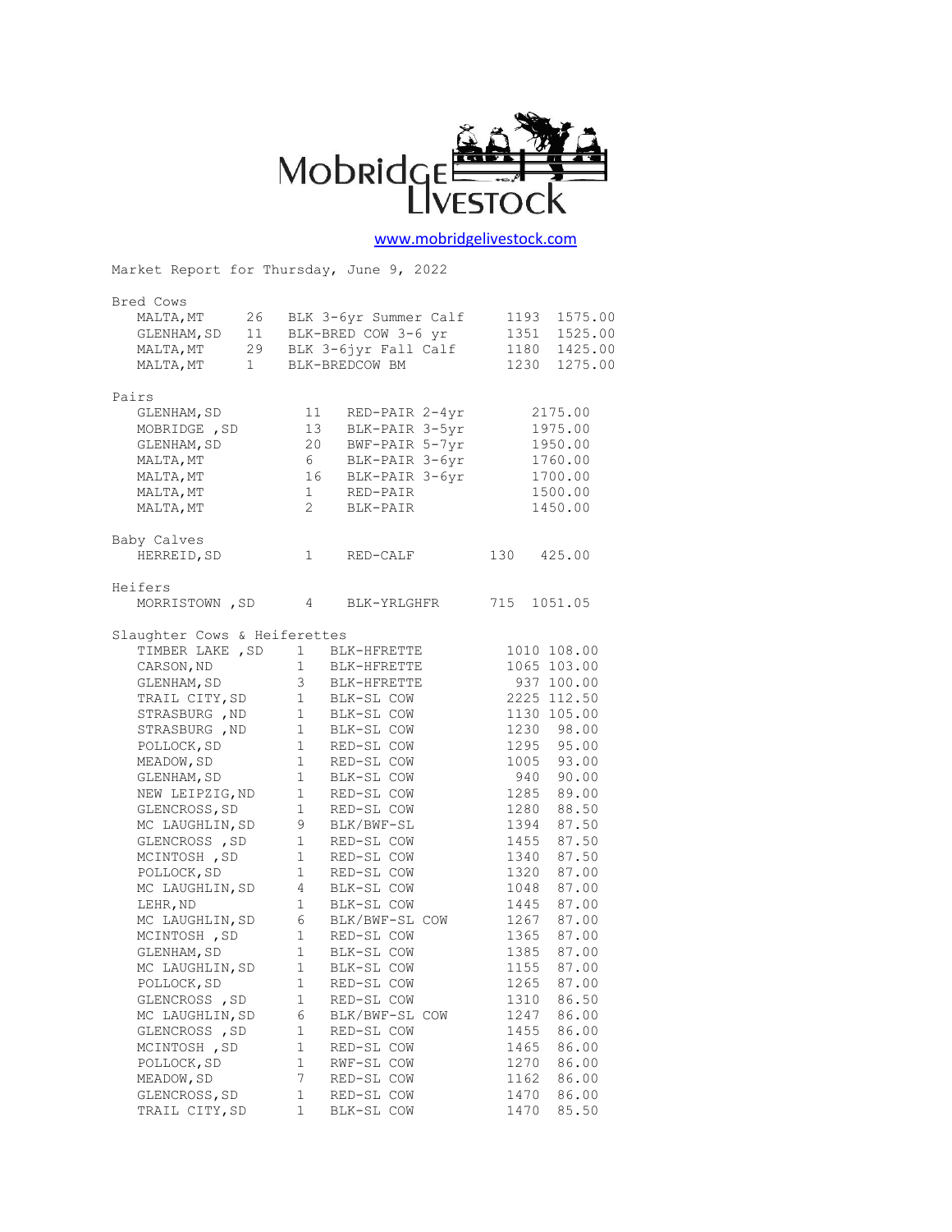

## [www.mobridgelivestock.com](http://www.mobridgelivestock.com/)

Market Report for Thursday, June 9, 2022 Bred Cows MALTA,MT 26 BLK 3-6yr Summer Calf 1193 1575.00 GLENHAM,SD 11 BLK-BRED COW 3-6 yr 1351 1525.00 MALTA,MT 29 BLK 3-6jyr Fall Calf 1180 1425.00 MALTA,MT 1 BLK-BREDCOW BM 1230 1275.00 Pairs GLENHAM, SD 11 RED-PAIR 2-4yr 2175.00 MOBRIDGE, SD 13 BLK-PAIR 3-5yr 1975.00 GLENHAM, SD 20 BWF-PAIR 5-7yr 1950.00 MALTA, MT 6 BLK-PAIR 3-6yr 1760.00 MALTA, MT 16 BLK-PAIR 3-6yr 1700.00 MALTA, MT 1 RED-PAIR 1500.00 MALIA, MI 1 NED-PAIR 1900.00<br>MALTA, MT 2 BLK-PAIR 1450.00 Baby Calves HERREID, SD 1 RED-CALF 130 425.00 Heifers MORRISTOWN , SD 4 BLK-YRLGHFR 715 1051.05 Slaughter Cows & Heiferettes TIMBER LAKE , SD 1 BLK-HFRETTE 1010 108.00<br>
CARSON, ND 1 BLK-HFRETTE 1065 103.00<br>
GLENHAM, SD 3 BLK-HFRETTE 937 100.00<br>
TRAIL CITY, SD 1 BLK-SL COW 2225 112.50<br>
STRASBURG , ND 1 BLK-SL COW 1130 105.00<br>
STRASBURG , ND 1 BLK CARSON, ND 1 BLK-HFRETTE 1065 103.00 GLENHAM, SD 3 BLK-HFRETTE 937 100.00 TRAIL CITY,SD 1 BLK-SL COW 2225 112.50 STRASBURG , ND 1 BLK-SL COW 1130 105.00 STRASBURG , ND 1 BLK-SL COW 1230 98.00 POLLOCK, SD 1 RED-SL COW 1295 95.00 MEADOW, SD 1 RED-SL COW 1005 93.00 GLENHAM, SD 1 BLK-SL COW 940 90.00 NEW LEIPZIG, ND 1 RED-SL COW 1285 89.00 GLENCROSS, SD 1 RED-SL COW 1280 88.50 MC LAUGHLIN, SD 9 BLK/BWF-SL 1394 87.50 GLENCROSS, SD 1 RED-SL COW 1455 87.50 MCINTOSH, SD 1 RED-SL COW 1340 87.50 POLLOCK, SD 1 RED-SL COW 1320 87.00 MC LAUGHLIN, SD 4 BLK-SL COW 1048 87.00 LEHR, ND 1 BLK-SL COW 1445 87.00 MC LAUGHLIN, SD 6 BLK/BWF-SL COW 1267 87.00 MCINTOSH, SD 1 RED-SL COW 1365 87.00 GLENHAM, SD 1 BLK-SL COW 1385 87.00 MC LAUGHLIN, SD 1 BLK-SL COW 1155 87.00 POLLOCK, SD 1 RED-SL COW 1265 87.00 GLENCROSS, SD 1 RED-SL COW 1310 86.50 MC LAUGHLIN, SD 6 BLK/BWF-SL COW 1247 86.00 GLENCROSS, SD 1 RED-SL COW 1455 86.00 MCINTOSH, SD 1 RED-SL COW 1465 86.00 POLLOCK, SD 1 RWF-SL COW 1270 86.00 MEADOW, SD 7 RED-SL COW 1162 86.00 GLENCROSS, SD 1 RED-SL COW 1470 86.00 TRAIL CITY, SD 1 BLK-SL COW 1470 85.50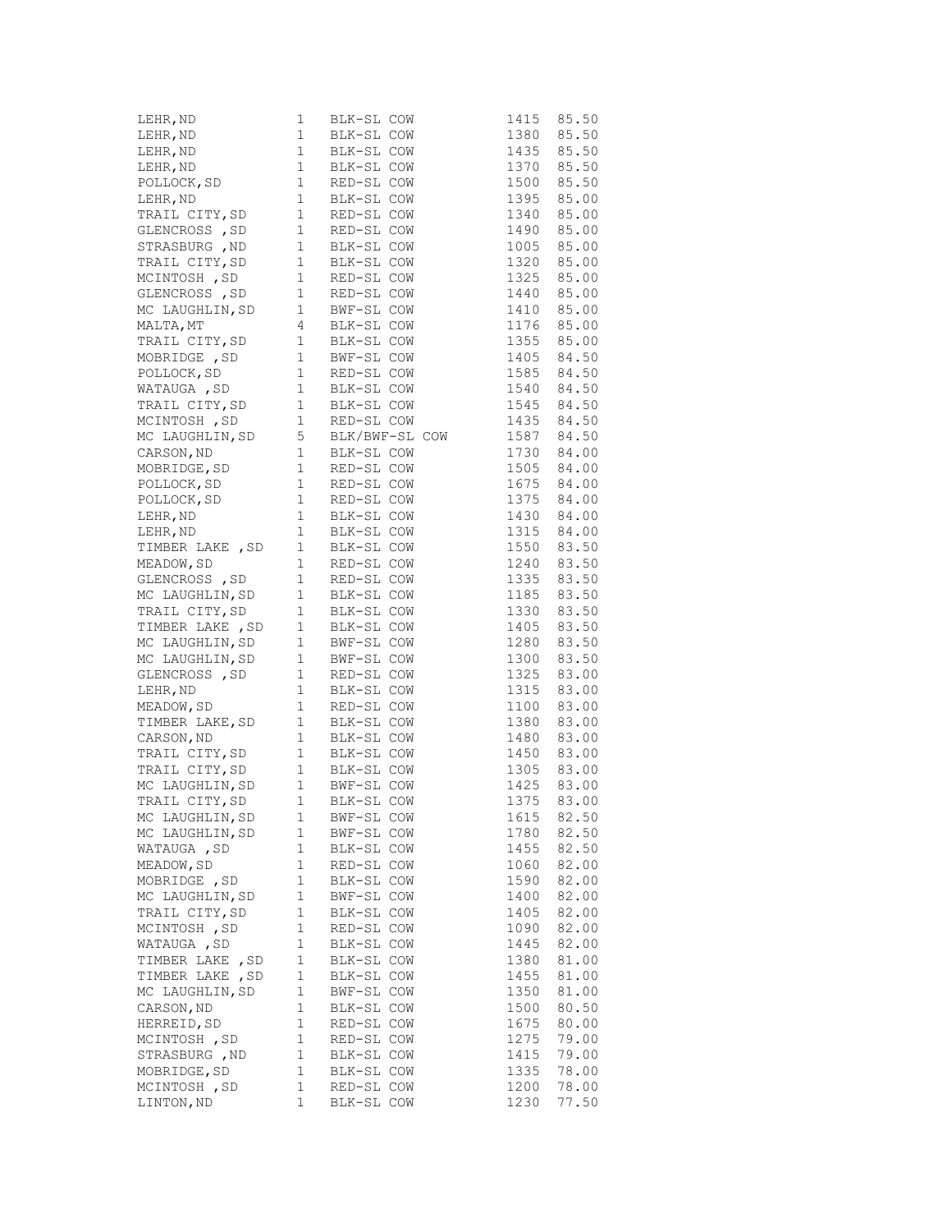|                  |             | 1 BLK-SL COW 1415 85.50<br>1 BLK-SL COW 1380 85.50<br>1 BLK-SL COW 1380 85.50<br>1 BLK-SL COW 1435 85.50<br>1 BLK-SL COW 1435 85.50<br>1 BLK-SL COW 1370 85.50<br>POLLOCK, SD 1 RED-SL COW 1395 85.00<br>1 BLK-SL COW 1395 85.00<br>1395 85.00 |                          |                |
|------------------|-------------|------------------------------------------------------------------------------------------------------------------------------------------------------------------------------------------------------------------------------------------------|--------------------------|----------------|
|                  |             |                                                                                                                                                                                                                                                |                          |                |
|                  |             |                                                                                                                                                                                                                                                |                          |                |
|                  |             |                                                                                                                                                                                                                                                |                          |                |
|                  |             |                                                                                                                                                                                                                                                |                          |                |
|                  |             |                                                                                                                                                                                                                                                |                          |                |
|                  |             |                                                                                                                                                                                                                                                |                          |                |
|                  |             |                                                                                                                                                                                                                                                |                          |                |
|                  |             | STRASBURG, ND 1 BLK-SL COW                                                                                                                                                                                                                     |                          | 1005 85.00     |
|                  |             |                                                                                                                                                                                                                                                |                          |                |
|                  |             |                                                                                                                                                                                                                                                |                          |                |
|                  |             | TRAIL CITY, SD    1  BLK-SL COW    1320    85.00<br>MCINTOSH , SD    1    RED-SL COW    1325    85.00<br>GLENCROSS , SD    1    RED-SL COW    1440    85.00                                                                                    |                          |                |
|                  |             |                                                                                                                                                                                                                                                |                          |                |
|                  |             | MC LAUGHLIN, SD    1   BWF-SL COW    1410    85.00<br>MALTA, MT    4   BLK-SL COW    1176    85.00<br>TRAIL CITY, SD    1   BLK-SL COW    1355    85.00                                                                                        | 1410 85.00<br>1176 85.00 |                |
|                  |             |                                                                                                                                                                                                                                                |                          |                |
|                  |             | MOBRIDGE, SD 1 BWF-SL COW 1405 84.50<br>POLLOCK, SD 1 RED-SL COW 1585 84.50<br>WATAUGA, SD 1 BLK-SL COW 1540 84.50                                                                                                                             |                          |                |
|                  |             |                                                                                                                                                                                                                                                |                          |                |
|                  |             |                                                                                                                                                                                                                                                |                          |                |
|                  |             |                                                                                                                                                                                                                                                |                          |                |
|                  |             |                                                                                                                                                                                                                                                |                          |                |
|                  |             |                                                                                                                                                                                                                                                |                          |                |
|                  |             |                                                                                                                                                                                                                                                |                          |                |
|                  |             |                                                                                                                                                                                                                                                |                          |                |
|                  |             |                                                                                                                                                                                                                                                |                          |                |
|                  |             | WATAUGA, SD 1 BLK-SL COW 1540 84.50<br>TRAIL CITY, SD 1 RED-SL COW 1545 84.50<br>MCINTOSH, SD 1 RED-SL COW 1435 84.50<br>MC LAUGHLIN, SD 5 BLK/BWF-SL COW 1587 84.50<br>CARSON, ND 1 BLK-SL COW 1730 84.00<br>MOBRIDGE, SD 1 RED-SL COW        |                          |                |
|                  |             |                                                                                                                                                                                                                                                |                          |                |
|                  |             |                                                                                                                                                                                                                                                |                          |                |
|                  |             |                                                                                                                                                                                                                                                |                          |                |
|                  |             |                                                                                                                                                                                                                                                |                          |                |
|                  |             |                                                                                                                                                                                                                                                |                          |                |
|                  |             | FULLOCK, SD 1 RED-SL COW 1375 84.00<br>LEHR, ND 1 BLK-SL COW 1430 84.00<br>TIMBER LAKE , SD 1 BLK-SL COW 1550 83.50<br>MEADOW, SD 1 RED-SL COW 1550 83.50<br>GLENCROSS , SD 1 RED-SL COW 1335 83.50<br>MC LAUGHLIN, SD 1 BLK-SL COW 1335       |                          |                |
|                  |             |                                                                                                                                                                                                                                                |                          |                |
|                  |             |                                                                                                                                                                                                                                                | $1405$ 83.50             |                |
|                  |             | TIMBER LAKE, SD 1 BLK-SL COW<br>MC LAUGHLIN, SD 1 BWF-SL COW<br>MC LAUGHLIN, SD 1 BWF-SL COW                                                                                                                                                   |                          | 1280 83.50     |
|                  |             |                                                                                                                                                                                                                                                |                          | 1300 83.50     |
|                  |             |                                                                                                                                                                                                                                                |                          | 83.00          |
|                  |             |                                                                                                                                                                                                                                                |                          | 83.00          |
|                  |             | GLENCROSS, SD 1 RED-SL COW 1325<br>LEHR, ND 1 BLK-SL COW 1315<br>MEADOW, SD 1 RED-SL COW 1100                                                                                                                                                  |                          | 83.00          |
|                  |             | TIMBER LAKE, SD    1    RILL SIL COW    1380    83.00<br>CARSON, ND    1    BLK-SL COW    1480    83.00<br>TRAIL CITY, SD    1    BLK-SL COW    1450    83.00                                                                                  |                          |                |
|                  |             |                                                                                                                                                                                                                                                |                          |                |
|                  |             |                                                                                                                                                                                                                                                |                          |                |
|                  |             | TRAIL CITY, SD 1 BLK-SL COW                                                                                                                                                                                                                    |                          | 1305 83.00     |
|                  |             |                                                                                                                                                                                                                                                |                          |                |
|                  |             | MC LAUGHLIN, SD    1    BWF-SL COW    1425    83.00<br>TRAIL CITY, SD    1    BLK-SL COW    1375    83.00                                                                                                                                      |                          |                |
| MC LAUGHLIN, SD  | 1           |                                                                                                                                                                                                                                                | 1615                     | 82.50          |
| MC LAUGHLIN, SD  | 1           | BWF-SL COW<br>BWF-SL COW                                                                                                                                                                                                                       | 1780                     | 82.50          |
| WATAUGA, SD      | 1           |                                                                                                                                                                                                                                                | 1455                     | 82.50          |
| MEADOW, SD       | $1\,$       | BLK-SL COW<br>RED-SL COW                                                                                                                                                                                                                       | 1060                     | 82.00          |
| MOBRIDGE , SD    | $1\,$       |                                                                                                                                                                                                                                                | 1590                     | 82.00          |
|                  | $1\,$       | BLK-SL COW                                                                                                                                                                                                                                     |                          | 82.00          |
| MC LAUGHLIN, SD  | $\mathbf 1$ | BWF-SL COW<br>BLK-SL COW                                                                                                                                                                                                                       | 1400<br>1405             | 82.00          |
| TRAIL CITY, SD   |             |                                                                                                                                                                                                                                                | 1090                     |                |
| MCINTOSH, SD     | 1           | RED-SL COW                                                                                                                                                                                                                                     |                          | 82.00<br>82.00 |
| WATAUGA , SD     | 1<br>1      | BLK-SL COW                                                                                                                                                                                                                                     | 1445                     | 81.00          |
| TIMBER LAKE , SD |             | BLK-SL COW                                                                                                                                                                                                                                     | 1380                     |                |
| TIMBER LAKE, SD  | 1           | BLK-SL COW                                                                                                                                                                                                                                     | 1455                     | 81.00          |
| MC LAUGHLIN, SD  | 1           | BWF-SL COW                                                                                                                                                                                                                                     | 1350                     | 81.00          |
| CARSON, ND       | 1           | BLK-SL COW                                                                                                                                                                                                                                     | 1500                     | 80.50          |
| HERREID, SD      | $1\,$       | RED-SL COW                                                                                                                                                                                                                                     | 1675                     | 80.00          |
| MCINTOSH, SD     | $1\,$       | RED-SL COW                                                                                                                                                                                                                                     | 1275                     | 79.00          |
| STRASBURG, ND    | 1           | BLK-SL COW                                                                                                                                                                                                                                     | 1415                     | 79.00          |
| MOBRIDGE, SD     | 1           | BLK-SL COW                                                                                                                                                                                                                                     | 1335                     | 78.00          |
| MCINTOSH , SD    | 1           | RED-SL COW                                                                                                                                                                                                                                     | 1200                     | 78.00          |
| LINTON, ND       | 1           | BLK-SL COW                                                                                                                                                                                                                                     | 1230                     | 77.50          |